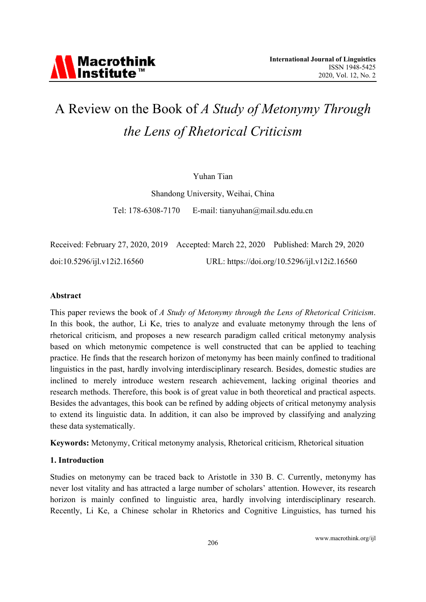### A Review on the Book of A Study of Metonymy Through the Lens of Rhetorical Criticism

#### Yuhan Tian

Shandong University, Weihai, China

E-mail: tianyuhan@mail.sdu.edu.cn Tel: 178-6308-7170

Received: February 27, 2020, 2019 Accepted: March 22, 2020 Published: March 29, 2020 doi:10.5296/ijl.v12i2.16560 URL: https://doi.org/10.5296/ijl.v12i2.16560

#### Abstract

This paper reviews the book of A Study of Metonymy through the Lens of Rhetorical Criticism. In this book, the author, Li Ke, tries to analyze and evaluate metonymy through the lens of rhetorical criticism, and proposes a new research paradigm called critical metonymy analysis based on which metonymic competence is well constructed that can be applied to teaching practice. He finds that the research horizon of metonymy has been mainly confined to traditional linguistics in the past, hardly involving interdisciplinary research. Besides, domestic studies are inclined to merely introduce western research achievement, lacking original theories and research methods. Therefore, this book is of great value in both theoretical and practical aspects. Besides the advantages, this book can be refined by adding objects of critical metonymy analysis to extend its linguistic data. In addition, it can also be improved by classifying and analyzing these data systematically.

**Keywords:** Metonymy, Critical metonymy analysis, Rhetorical criticism, Rhetorical situation

#### 1. Introduction

Studies on metonymy can be traced back to Aristotle in 330 B. C. Currently, metonymy has never lost vitality and has attracted a large number of scholars' attention. However, its research horizon is mainly confined to linguistic area, hardly involving interdisciplinary research. Recently, Li Ke, a Chinese scholar in Rhetorics and Cognitive Linguistics, has turned his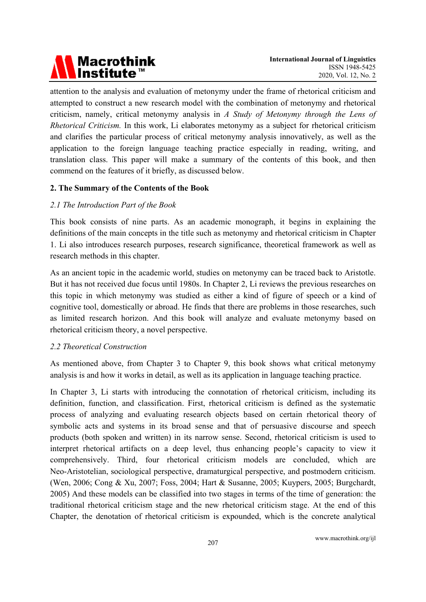# Macrothink<br>Institute™

attention to the analysis and evaluation of metonymy under the frame of rhetorical criticism and attempted to construct a new research model with the combination of metonymy and rhetorical criticism, namely, critical metonymy analysis in A Study of Metonymy through the Lens of Rhetorical Criticism. In this work, Li elaborates metonymy as a subject for rhetorical criticism and clarifies the particular process of critical metonymy analysis innovatively, as well as the application to the foreign language teaching practice especially in reading, writing, and translation class. This paper will make a summary of the contents of this book, and then commend on the features of it briefly, as discussed below.

### 2. The Summary of the Contents of the Book

### 2.1 The Introduction Part of the Book

This book consists of nine parts. As an academic monograph, it begins in explaining the definitions of the main concepts in the title such as metonymy and rhetorical criticism in Chapter 1. Li also introduces research purposes, research significance, theoretical framework as well as research methods in this chapter.

As an ancient topic in the academic world, studies on metonymy can be traced back to Aristotle. But it has not received due focus until 1980s. In Chapter 2, Li reviews the previous researches on this topic in which metonymy was studied as either a kind of figure of speech or a kind of cognitive tool, domestically or abroad. He finds that there are problems in those researches, such as limited research horizon. And this book will analyze and evaluate metonymy based on rhetorical criticism theory, a novel perspective.

### 2.2 Theoretical Construction

As mentioned above, from Chapter 3 to Chapter 9, this book shows what critical metonymy analysis is and how it works in detail, as well as its application in language teaching practice.

In Chapter 3, Li starts with introducing the connotation of rhetorical criticism, including its definition, function, and classification. First, rhetorical criticism is defined as the systematic process of analyzing and evaluating research objects based on certain rhetorical theory of symbolic acts and systems in its broad sense and that of persuasive discourse and speech products (both spoken and written) in its narrow sense. Second, rhetorical criticism is used to interpret rhetorical artifacts on a deep level, thus enhancing people's capacity to view it comprehensively. Third, four rhetorical criticism models are concluded, which are Neo-Aristotelian, sociological perspective, dramaturgical perspective, and postmodern criticism. (Wen, 2006; Cong & Xu, 2007; Foss, 2004; Hart & Susanne, 2005; Kuypers, 2005; Burgchardt, 2005) And these models can be classified into two stages in terms of the time of generation: the traditional rhetorical criticism stage and the new rhetorical criticism stage. At the end of this Chapter, the denotation of rhetorical criticism is expounded, which is the concrete analytical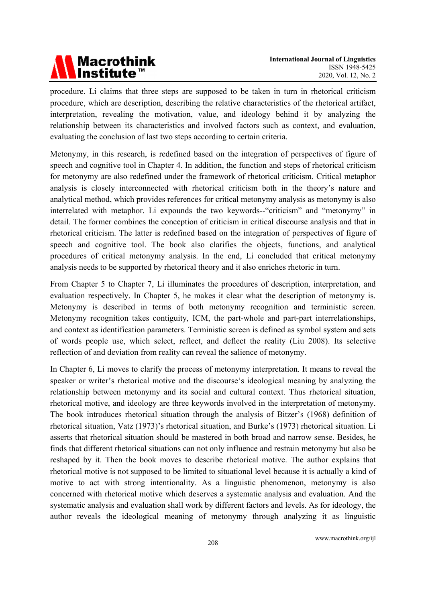# Macrothink<br>Institute™

procedure. Li claims that three steps are supposed to be taken in turn in rhetorical criticism procedure, which are description, describing the relative characteristics of the rhetorical artifact, interpretation, revealing the motivation, value, and ideology behind it by analyzing the relationship between its characteristics and involved factors such as context, and evaluation, evaluating the conclusion of last two steps according to certain criteria.

Metonymy, in this research, is redefined based on the integration of perspectives of figure of speech and cognitive tool in Chapter 4. In addition, the function and steps of rhetorical criticism for metonymy are also redefined under the framework of rhetorical criticism. Critical metaphor analysis is closely interconnected with rhetorical criticism both in the theory's nature and analytical method, which provides references for critical metonymy analysis as metonymy is also interrelated with metaphor. Li expounds the two keywords--"criticism" and "metonymy" in detail. The former combines the conception of criticism in critical discourse analysis and that in rhetorical criticism. The latter is redefined based on the integration of perspectives of figure of speech and cognitive tool. The book also clarifies the objects, functions, and analytical procedures of critical metonymy analysis. In the end, Li concluded that critical metonymy analysis needs to be supported by rhetorical theory and it also enriches rhetoric in turn.

From Chapter 5 to Chapter 7, Li illuminates the procedures of description, interpretation, and evaluation respectively. In Chapter 5, he makes it clear what the description of metonymy is. Metonymy is described in terms of both metonymy recognition and terministic screen. Metonymy recognition takes contiguity, ICM, the part-whole and part-part interrelationships, and context as identification parameters. Terministic screen is defined as symbol system and sets of words people use, which select, reflect, and deflect the reality (Liu 2008). Its selective reflection of and deviation from reality can reveal the salience of metonymy.

In Chapter 6, Li moves to clarify the process of metonymy interpretation. It means to reveal the speaker or writer's rhetorical motive and the discourse's ideological meaning by analyzing the relationship between metonymy and its social and cultural context. Thus rhetorical situation, rhetorical motive, and ideology are three keywords involved in the interpretation of metonymy. The book introduces rhetorical situation through the analysis of Bitzer's (1968) definition of rhetorical situation, Vatz (1973)'s rhetorical situation, and Burke's (1973) rhetorical situation. Li asserts that rhetorical situation should be mastered in both broad and narrow sense. Besides, he finds that different rhetorical situations can not only influence and restrain metonymy but also be reshaped by it. Then the book moves to describe rhetorical motive. The author explains that rhetorical motive is not supposed to be limited to situational level because it is actually a kind of motive to act with strong intentionality. As a linguistic phenomenon, metonymy is also concerned with rhetorical motive which deserves a systematic analysis and evaluation. And the systematic analysis and evaluation shall work by different factors and levels. As for ideology, the author reveals the ideological meaning of metonymy through analyzing it as linguistic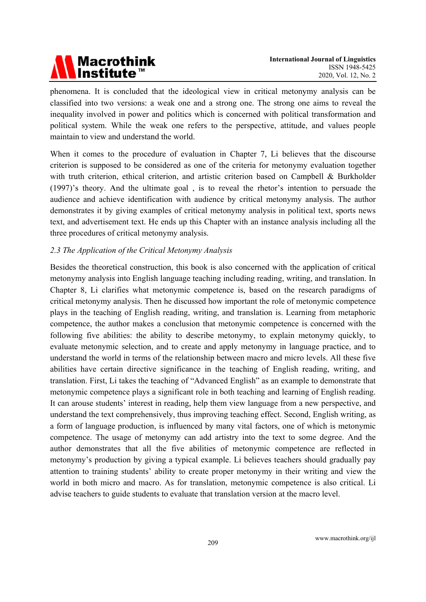

phenomena. It is concluded that the ideological view in critical metonymy analysis can be classified into two versions: a weak one and a strong one. The strong one aims to reveal the inequality involved in power and politics which is concerned with political transformation and political system. While the weak one refers to the perspective, attitude, and values people maintain to view and understand the world.

When it comes to the procedure of evaluation in Chapter 7, Li believes that the discourse criterion is supposed to be considered as one of the criteria for metonymy evaluation together with truth criterion, ethical criterion, and artistic criterion based on Campbell & Burkholder (1997)'s theory. And the ultimate goal, is to reveal the rhetor's intention to persuade the audience and achieve identification with audience by critical metonymy analysis. The author demonstrates it by giving examples of critical metonymy analysis in political text, sports news text, and advertisement text. He ends up this Chapter with an instance analysis including all the three procedures of critical metonymy analysis.

### 2.3 The Application of the Critical Metonymy Analysis

Besides the theoretical construction, this book is also concerned with the application of critical metonymy analysis into English language teaching including reading, writing, and translation. In Chapter 8, Li clarifies what metonymic competence is, based on the research paradigms of critical metonymy analysis. Then he discussed how important the role of metonymic competence plays in the teaching of English reading, writing, and translation is. Learning from metaphoric competence, the author makes a conclusion that metonymic competence is concerned with the following five abilities: the ability to describe metonymy, to explain metonymy quickly, to evaluate metonymic selection, and to create and apply metonymy in language practice, and to understand the world in terms of the relationship between macro and micro levels. All these five abilities have certain directive significance in the teaching of English reading, writing, and translation. First, Li takes the teaching of "Advanced English" as an example to demonstrate that metonymic competence plays a significant role in both teaching and learning of English reading. It can arouse students' interest in reading, help them view language from a new perspective, and understand the text comprehensively, thus improving teaching effect. Second, English writing, as a form of language production, is influenced by many vital factors, one of which is metonymic competence. The usage of metonymy can add artistry into the text to some degree. And the author demonstrates that all the five abilities of metonymic competence are reflected in metonymy's production by giving a typical example. Li believes teachers should gradually pay attention to training students' ability to create proper metonymy in their writing and view the world in both micro and macro. As for translation, metonymic competence is also critical. Li advise teachers to guide students to evaluate that translation version at the macro level.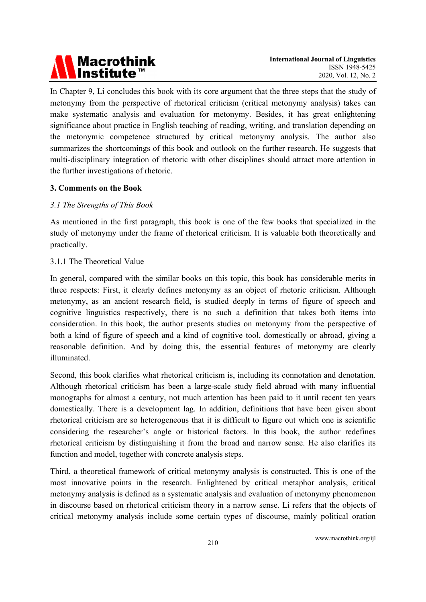# Macrothink<br>Institute™

In Chapter 9, Li concludes this book with its core argument that the three steps that the study of metonymy from the perspective of rhetorical criticism (critical metonymy analysis) takes can make systematic analysis and evaluation for metonymy. Besides, it has great enlightening significance about practice in English teaching of reading, writing, and translation depending on the metonymic competence structured by critical metonymy analysis. The author also summarizes the shortcomings of this book and outlook on the further research. He suggests that multi-disciplinary integration of rhetoric with other disciplines should attract more attention in the further investigations of rhetoric.

### 3. Comments on the Book

### 3.1 The Strengths of This Book

As mentioned in the first paragraph, this book is one of the few books that specialized in the study of metonymy under the frame of rhetorical criticism. It is valuable both theoretically and practically.

### 3.1.1 The Theoretical Value

In general, compared with the similar books on this topic, this book has considerable merits in three respects: First, it clearly defines metonymy as an object of rhetoric criticism. Although metonymy, as an ancient research field, is studied deeply in terms of figure of speech and cognitive linguistics respectively, there is no such a definition that takes both items into consideration. In this book, the author presents studies on metonymy from the perspective of both a kind of figure of speech and a kind of cognitive tool, domestically or abroad, giving a reasonable definition. And by doing this, the essential features of metonymy are clearly illuminated

Second, this book clarifies what rhetorical criticism is, including its connotation and denotation. Although rhetorical criticism has been a large-scale study field abroad with many influential monographs for almost a century, not much attention has been paid to it until recent ten years domestically. There is a development lag. In addition, definitions that have been given about rhetorical criticism are so heterogeneous that it is difficult to figure out which one is scientific considering the researcher's angle or historical factors. In this book, the author redefines rhetorical criticism by distinguishing it from the broad and narrow sense. He also clarifies its function and model, together with concrete analysis steps.

Third, a theoretical framework of critical metonymy analysis is constructed. This is one of the most innovative points in the research. Enlightened by critical metaphor analysis, critical metonymy analysis is defined as a systematic analysis and evaluation of metonymy phenomenon in discourse based on rhetorical criticism theory in a narrow sense. Li refers that the objects of critical metonymy analysis include some certain types of discourse, mainly political oration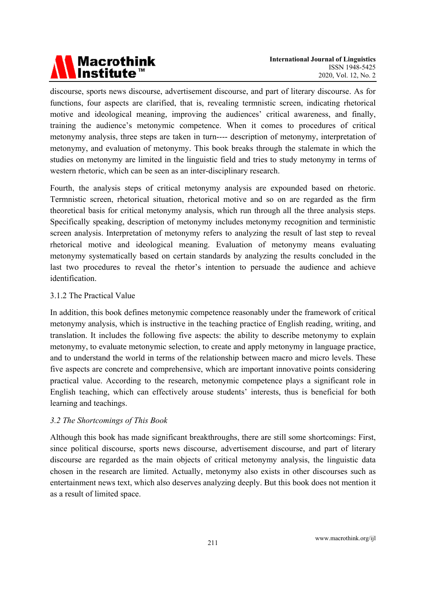### **Macrothink** Institute"

discourse, sports news discourse, advertisement discourse, and part of literary discourse. As for functions, four aspects are clarified, that is, revealing termnistic screen, indicating rhetorical motive and ideological meaning, improving the audiences' critical awareness, and finally, training the audience's metonymic competence. When it comes to procedures of critical metonymy analysis, three steps are taken in turn---- description of metonymy, interpretation of metonymy, and evaluation of metonymy. This book breaks through the stalemate in which the studies on metonymy are limited in the linguistic field and tries to study metonymy in terms of western rhetoric, which can be seen as an inter-disciplinary research.

Fourth, the analysis steps of critical metonymy analysis are expounded based on rhetoric. Termnistic screen, rhetorical situation, rhetorical motive and so on are regarded as the firm theoretical basis for critical metonymy analysis, which run through all the three analysis steps. Specifically speaking, description of metonymy includes metonymy recognition and terministic screen analysis. Interpretation of metonymy refers to analyzing the result of last step to reveal rhetorical motive and ideological meaning. Evaluation of metonymy means evaluating metonymy systematically based on certain standards by analyzing the results concluded in the last two procedures to reveal the rhetor's intention to persuade the audience and achieve identification.

### 3.1.2 The Practical Value

In addition, this book defines metonymic competence reasonably under the framework of critical metonymy analysis, which is instructive in the teaching practice of English reading, writing, and translation. It includes the following five aspects: the ability to describe metonymy to explain metonymy, to evaluate metonymic selection, to create and apply metonymy in language practice, and to understand the world in terms of the relationship between macro and micro levels. These five aspects are concrete and comprehensive, which are important innovative points considering practical value. According to the research, metonymic competence plays a significant role in English teaching, which can effectively arouse students' interests, thus is beneficial for both learning and teachings.

### 3.2 The Shortcomings of This Book

Although this book has made significant breakthroughs, there are still some shortcomings: First, since political discourse, sports news discourse, advertisement discourse, and part of literary discourse are regarded as the main objects of critical metonymy analysis, the linguistic data chosen in the research are limited. Actually, metonymy also exists in other discourses such as entertainment news text, which also deserves analyzing deeply. But this book does not mention it as a result of limited space.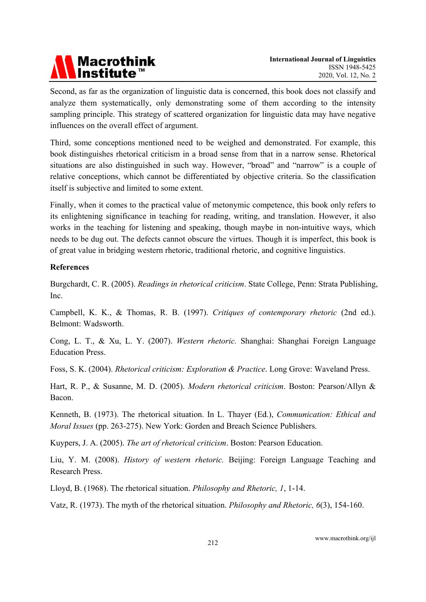

Second, as far as the organization of linguistic data is concerned, this book does not classify and analyze them systematically, only demonstrating some of them according to the intensity sampling principle. This strategy of scattered organization for linguistic data may have negative influences on the overall effect of argument.

Third, some conceptions mentioned need to be weighed and demonstrated. For example, this book distinguishes rhetorical criticism in a broad sense from that in a narrow sense. Rhetorical situations are also distinguished in such way. However, "broad" and "narrow" is a couple of relative conceptions, which cannot be differentiated by objective criteria. So the classification itself is subjective and limited to some extent.

Finally, when it comes to the practical value of metonymic competence, this book only refers to its enlightening significance in teaching for reading, writing, and translation. However, it also works in the teaching for listening and speaking, though maybe in non-intuitive ways, which needs to be dug out. The defects cannot obscure the virtues. Though it is imperfect, this book is of great value in bridging western rhetoric, traditional rhetoric, and cognitive linguistics.

### **References**

Burgchardt, C. R. (2005). Readings in rhetorical criticism. State College, Penn: Strata Publishing, **Inc** 

Campbell, K. K., & Thomas, R. B. (1997). Critiques of contemporary rhetoric (2nd ed.). Belmont: Wadsworth

Cong, L. T., & Xu, L. Y. (2007). Western rhetoric. Shanghai: Shanghai Foreign Language **Education Press.** 

Foss, S. K. (2004). Rhetorical criticism: Exploration & Practice. Long Grove: Waveland Press.

Hart, R. P., & Susanne, M. D. (2005). Modern rhetorical criticism. Boston: Pearson/Allyn & Bacon

Kenneth, B. (1973). The rhetorical situation. In L. Thayer (Ed.), Communication: Ethical and Moral Issues (pp. 263-275). New York: Gorden and Breach Science Publishers.

Kuvpers, J. A. (2005). The art of rhetorical criticism. Boston: Pearson Education.

Liu, Y. M. (2008). History of western rhetoric. Beijing: Foreign Language Teaching and Research Press.

Lloyd, B. (1968). The rhetorical situation. *Philosophy and Rhetoric*, 1, 1-14.

Vatz, R. (1973). The myth of the rhetorical situation. *Philosophy and Rhetoric*,  $6(3)$ , 154-160.